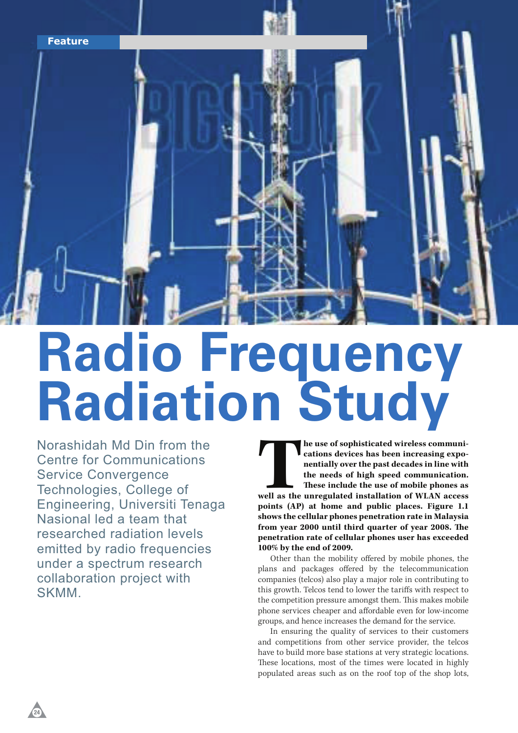

# **Radio Frequency Radiation Study**

Norashidah Md Din from the Centre for Communications Service Convergence Technologies, College of Engineering, Universiti Tenaga Nasional led a team that researched radiation levels emitted by radio frequencies under a spectrum research collaboration project with SKMM.

**The use of sophisticated wireless communications devices has been increasing exponentially over the past decades in line with the needs of high speed communication.<br>These include the use of mobile phones as well as the un he use of sophisticated wireless communications devices has been increasing exponentially over the past decades in line with the needs of high speed communication. These include the use of mobile phones as points (AP) at home and public places. Figure 1.1 shows the cellular phones penetration rate in Malaysia**  from year 2000 until third quarter of year 2008. The **penetration rate of cellular phones user has exceeded 100% by the end of 2009.** 

Other than the mobility offered by mobile phones, the plans and packages offered by the telecommunication companies (telcos) also play a major role in contributing to this growth. Telcos tend to lower the tariffs with respect to the competition pressure amongst them. This makes mobile phone services cheaper and affordable even for low-income groups, and hence increases the demand for the service.

In ensuring the quality of services to their customers and competitions from other service provider, the telcos have to build more base stations at very strategic locations. These locations, most of the times were located in highly populated areas such as on the roof top of the shop lots,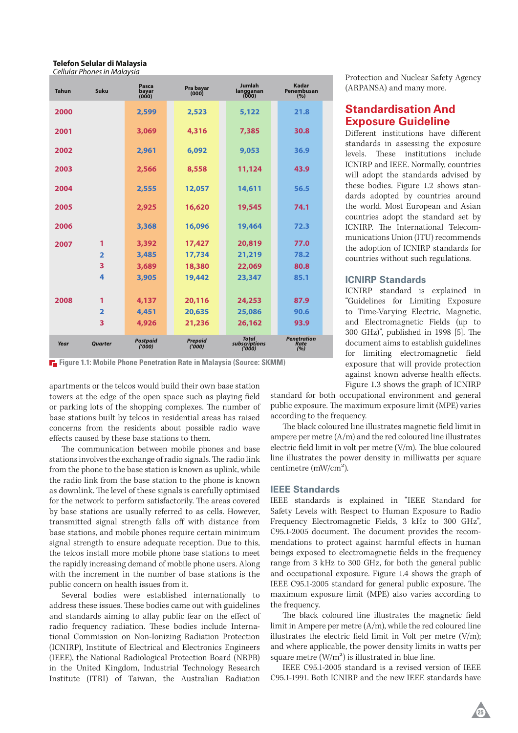#### **Telefon Selular di Malaysia** *Cellular Phones in Malaysia*

| <b>Tahun</b> | Suku                    | Pasca<br>bayar<br>(000)  | Pra bayar<br>(000)      | Jumlah<br>langganan<br>(000)           | Kadar<br>Penembusan<br>(%)        |
|--------------|-------------------------|--------------------------|-------------------------|----------------------------------------|-----------------------------------|
| 2000         |                         | 2,599                    | 2,523                   | 5,122                                  | 21.8                              |
| 2001         |                         | 3,069                    | 4,316                   | 7,385                                  | 30.8                              |
| 2002         |                         | 2.961                    | 6,092                   | 9,053                                  | 36.9                              |
| 2003         |                         | 2,566                    | 8,558                   | 11,124                                 | 43.9                              |
| 2004         |                         | 2,555                    | 12,057                  | 14,611                                 | 56.5                              |
| 2005         |                         | 2,925                    | 16,620                  | 19,545                                 | 74.1                              |
| 2006         |                         | 3,368                    | 16,096                  | 19,464                                 | 72.3                              |
| 2007         | 1                       | 3,392                    | 17,427                  | 20,819                                 | 77.0                              |
|              | $\overline{\mathbf{2}}$ | 3,485                    | 17,734                  | 21,219                                 | 78.2                              |
|              | 3                       | 3,689                    | 18,380                  | 22,069                                 | 80.8                              |
|              | 4                       | 3,905                    | 19,442                  | 23,347                                 | 85.1                              |
| 2008         | 1                       | 4,137                    | 20,116                  | 24,253                                 | 87.9                              |
|              | $\overline{2}$          | 4,451                    | 20,635                  | 25,086                                 | 90.6                              |
|              | 3                       | 4,926                    | 21,236                  | 26,162                                 | 93.9                              |
| Year         | <b>Ouarter</b>          | <b>Postpaid</b><br>(000) | <b>Prepaid</b><br>(000) | <b>Total</b><br>subscriptions<br>(000) | <b>Penetration</b><br>Rate<br>(%) |

**FI** Figure 1.1: Mobile Phone Penetration Rate in Malaysia (Source: SKMM)

apartments or the telcos would build their own base station towers at the edge of the open space such as playing field or parking lots of the shopping complexes. The number of base stations built by telcos in residential areas has raised concerns from the residents about possible radio wave effects caused by these base stations to them.

The communication between mobile phones and base stations involves the exchange of radio signals. The radio link from the phone to the base station is known as uplink, while the radio link from the base station to the phone is known as downlink. The level of these signals is carefully optimised for the network to perform satisfactorily. The areas covered by base stations are usually referred to as cells. However, transmitted signal strength falls off with distance from base stations, and mobile phones require certain minimum signal strength to ensure adequate reception. Due to this, the telcos install more mobile phone base stations to meet the rapidly increasing demand of mobile phone users. Along with the increment in the number of base stations is the public concern on health issues from it.

Several bodies were established internationally to address these issues. These bodies came out with guidelines and standards aiming to allay public fear on the effect of radio frequency radiation. These bodies include International Commission on Non-Ionizing Radiation Protection (ICNIRP), Institute of Electrical and Electronics Engineers (IEEE), the National Radiological Protection Board (NRPB) in the United Kingdom, Industrial Technology Research Institute (ITRI) of Taiwan, the Australian Radiation

Protection and Nuclear Safety Agency (ARPANSA) and many more.

# **Standardisation And Exposure Guideline**

Different institutions have different standards in assessing the exposure levels. These institutions include ICNIRP and IEEE. Normally, countries will adopt the standards advised by these bodies. Figure 1.2 shows standards adopted by countries around the world. Most European and Asian countries adopt the standard set by ICNIRP. The International Telecommunications Union (ITU) recommends the adoption of ICNIRP standards for countries without such regulations.

#### **ICNIRP Standards**

ICNIRP standard is explained in "Guidelines for Limiting Exposure to Time-Varying Electric, Magnetic, and Electromagnetic Fields (up to 300 GHz)", published in 1998 [5]. The document aims to establish guidelines for limiting electromagnetic field exposure that will provide protection against known adverse health effects. Figure 1.3 shows the graph of ICNIRP

standard for both occupational environment and general public exposure. The maximum exposure limit (MPE) varies according to the frequency.

The black coloured line illustrates magnetic field limit in ampere per metre (A/m) and the red coloured line illustrates electric field limit in volt per metre  $(V/m)$ . The blue coloured line illustrates the power density in milliwatts per square centimetre (mW/cm<sup>2</sup>).

#### **IEEE Standards**

IEEE standards is explained in "IEEE Standard for Safety Levels with Respect to Human Exposure to Radio Frequency Electromagnetic Fields, 3 kHz to 300 GHz", C95.1-2005 document. The document provides the recommendations to protect against harmful effects in human beings exposed to electromagnetic fields in the frequency range from 3 kHz to 300 GHz, for both the general public and occupational exposure. Figure 1.4 shows the graph of IEEE C95.1-2005 standard for general public exposure. The maximum exposure limit (MPE) also varies according to the frequency.

The black coloured line illustrates the magnetic field limit in Ampere per metre (A/m), while the red coloured line illustrates the electric field limit in Volt per metre  $(V/m)$ ; and where applicable, the power density limits in watts per square metre  $(W/m^2)$  is illustrated in blue line.

IEEE C95.1-2005 standard is a revised version of IEEE C95.1-1991. Both ICNIRP and the new IEEE standards have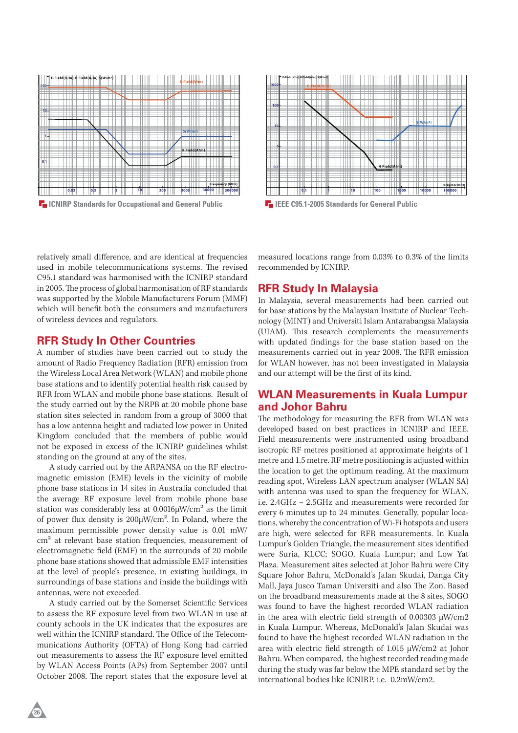

**IC** ICNIRP Standards for Occupational and General Public **ICC ICEE C95.1-2005** Standards for General Public



relatively small difference, and are identical at frequencies used in mobile telecommunications systems. The revised C95.1 standard was harmonised with the ICNIRP standard in 2005. The process of global harmonisation of RF standards was supported by the Mobile Manufacturers Forum (MMF) which will benefit both the consumers and manufacturers of wireless devices and regulators.

#### **RFR Study In Other Countries**

A number of studies have been carried out to study the amount of Radio Frequency Radiation (RFR) emission from the Wireless Local Area Network (WLAN) and mobile phone base stations and to identify potential health risk caused by RFR from WLAN and mobile phone base stations. Result of the study carried out by the NRPB at 20 mobile phone base station sites selected in random from a group of 3000 that has a low antenna height and radiated low power in United Kingdom concluded that the members of public would not be exposed in excess of the ICNIRP guidelines whilst standing on the ground at any of the sites.

A study carried out by the ARPANSA on the RF electromagnetic emission (EME) levels in the vicinity of mobile phone base stations in 14 sites in Australia concluded that the average RF exposure level from mobile phone base station was considerably less at  $0.0016 \mu$ W/cm<sup>2</sup> as the limit of power flux density is  $200\mu\text{W/cm}^2$ . In Poland, where the maximum permissible power density value is 0.01 mW/ cm2 at relevant base station frequencies, measurement of electromagnetic field (EMF) in the surrounds of 20 mobile phone base stations showed that admissible EMF intensities at the level of people's presence, in existing buildings, in surroundings of base stations and inside the buildings with antennas, were not exceeded.

A study carried out by the Somerset Scientific Services to assess the RF exposure level from two WLAN in use at county schools in the UK indicates that the exposures are well within the ICNIRP standard. The Office of the Telecommunications Authority (OFTA) of Hong Kong had carried out measurements to assess the RF exposure level emitted by WLAN Access Points (APs) from September 2007 until October 2008. The report states that the exposure level at

measured locations range from 0.03% to 0.3% of the limits recommended by ICNIRP.

#### **RFR Study In Malaysia**

In Malaysia, several measurements had been carried out for base stations by the Malaysian Insitute of Nuclear Technology (MINT) and Universiti Islam Antarabangsa Malaysia (UIAM). This research complements the measurements with updated findings for the base station based on the measurements carried out in year 2008. The RFR emission for WLAN however, has not been investigated in Malaysia and our attempt will be the first of its kind.

# **WLAN Measurements in Kuala Lumpur and Johor Bahru**

The methodology for measuring the RFR from WLAN was developed based on best practices in ICNIRP and IEEE. Field measurements were instrumented using broadband isotropic RF metres positioned at approximate heights of 1 metre and 1.5 metre. RF metre positioning is adjusted within the location to get the optimum reading. At the maximum reading spot, Wireless LAN spectrum analyser (WLAN SA) with antenna was used to span the frequency for WLAN, i.e. 2.4GHz – 2.5GHz and measurements were recorded for every 6 minutes up to 24 minutes. Generally, popular locations, whereby the concentration of Wi-Fi hotspots and users are high, were selected for RFR measurements. In Kuala Lumpur's Golden Triangle, the measurement sites identified were Suria, KLCC; SOGO, Kuala Lumpur; and Low Yat Plaza. Measurement sites selected at Johor Bahru were City Square Johor Bahru, McDonald's Jalan Skudai, Danga City Mall, Jaya Jusco Taman Universiti and also The Zon. Based on the broadband measurements made at the 8 sites, SOGO was found to have the highest recorded WLAN radiation in the area with electric field strength of 0.00303  $\mu$ W/cm2 in Kuala Lumpur. Whereas, McDonald's Jalan Skudai was found to have the highest recorded WLAN radiation in the area with electric field strength of 1.015  $\mu$ W/cm2 at Johor Bahru. When compared, the highest recorded reading made during the study was far below the MPE standard set by the international bodies like ICNIRP, i.e. 0.2mW/cm2.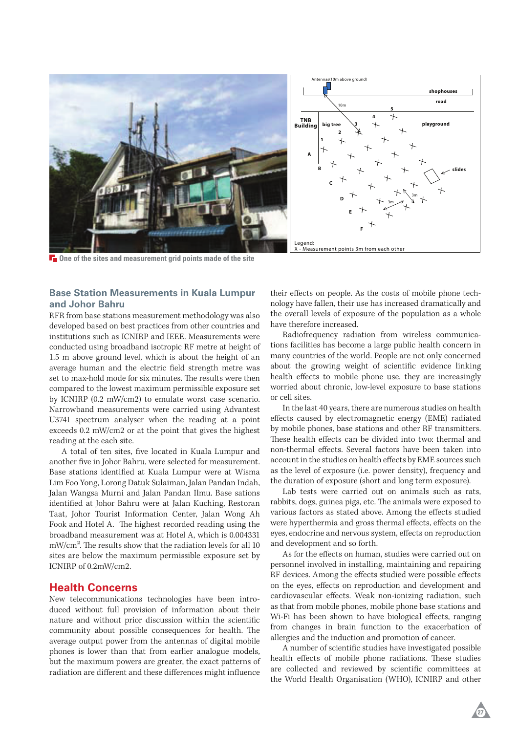

**One of the sites and measurement grid points made of the site**

## **Base Station Measurements in Kuala Lumpur and Johor Bahru**

RFR from base stations measurement methodology was also developed based on best practices from other countries and institutions such as ICNIRP and IEEE. Measurements were conducted using broadband isotropic RF metre at height of 1.5 m above ground level, which is about the height of an average human and the electric field strength metre was set to max-hold mode for six minutes. The results were then compared to the lowest maximum permissible exposure set by ICNIRP (0.2 mW/cm2) to emulate worst case scenario. Narrowband measurements were carried using Advantest U3741 spectrum analyser when the reading at a point exceeds 0.2 mW/cm2 or at the point that gives the highest reading at the each site.

A total of ten sites, five located in Kuala Lumpur and another five in Johor Bahru, were selected for measurement. Base stations identified at Kuala Lumpur were at Wisma Lim Foo Yong, Lorong Datuk Sulaiman, Jalan Pandan Indah, Jalan Wangsa Murni and Jalan Pandan Ilmu. Base sations identified at Johor Bahru were at Jalan Kuching, Restoran Taat, Johor Tourist Information Center, Jalan Wong Ah Fook and Hotel A. The highest recorded reading using the broadband measurement was at Hotel A, which is 0.004331  $mW/cm<sup>2</sup>$ . The results show that the radiation levels for all 10 sites are below the maximum permissible exposure set by ICNIRP of 0.2mW/cm2.

## **Health Concerns**

New telecommunications technologies have been introduced without full provision of information about their nature and without prior discussion within the scientific community about possible consequences for health. The average output power from the antennas of digital mobile phones is lower than that from earlier analogue models, but the maximum powers are greater, the exact patterns of radiation are different and these differences might influence

their effects on people. As the costs of mobile phone technology have fallen, their use has increased dramatically and the overall levels of exposure of the population as a whole have therefore increased.

Radiofrequency radiation from wireless communications facilities has become a large public health concern in many countries of the world. People are not only concerned about the growing weight of scientific evidence linking health effects to mobile phone use, they are increasingly worried about chronic, low-level exposure to base stations or cell sites.

In the last 40 years, there are numerous studies on health effects caused by electromagnetic energy (EME) radiated by mobile phones, base stations and other RF transmitters. These health effects can be divided into two: thermal and non-thermal effects. Several factors have been taken into account in the studies on health effects by EME sources such as the level of exposure (i.e. power density), frequency and the duration of exposure (short and long term exposure).

Lab tests were carried out on animals such as rats, rabbits, dogs, guinea pigs, etc. The animals were exposed to various factors as stated above. Among the effects studied were hyperthermia and gross thermal effects, effects on the eyes, endocrine and nervous system, effects on reproduction and development and so forth.

As for the effects on human, studies were carried out on personnel involved in installing, maintaining and repairing RF devices. Among the effects studied were possible effects on the eyes, effects on reproduction and development and cardiovascular effects. Weak non-ionizing radiation, such as that from mobile phones, mobile phone base stations and Wi-Fi has been shown to have biological effects, ranging from changes in brain function to the exacerbation of allergies and the induction and promotion of cancer.

A number of scientific studies have investigated possible health effects of mobile phone radiations. These studies are collected and reviewed by scientific committees at the World Health Organisation (WHO), ICNIRP and other